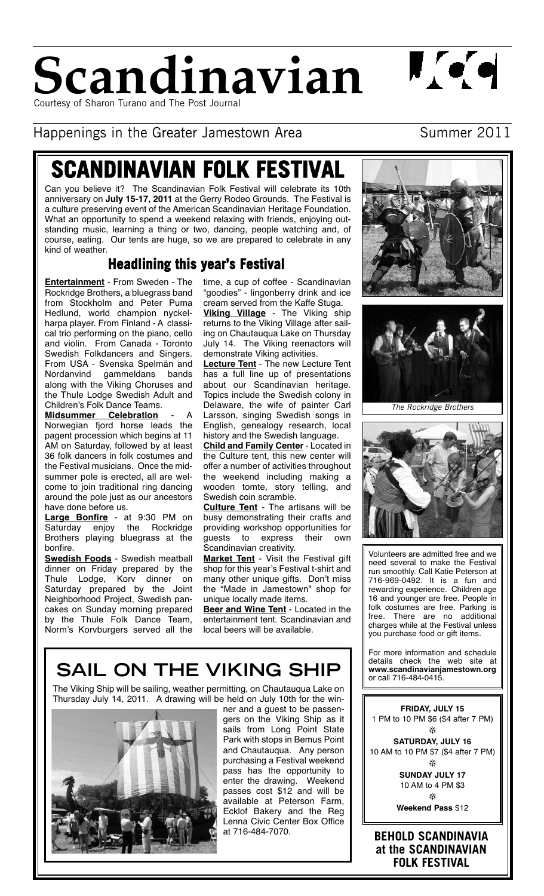

 $\mathbf{I}(\bullet)\bullet$ 

Happenings in the Greater Jamestown Area Summer 2011

# **SCANDINAVIAN FOLK FESTIVAL**

Can you believe it? The Scandinavian Folk Festival will celebrate its 10th anniversary on **July 15-17, 2011** at the Gerry Rodeo Grounds. The Festival is a culture preserving event of the American Scandinavian Heritage Foundation. What an opportunity to spend a weekend relaxing with friends, enjoying outstanding music, learning a thing or two, dancing, people watching and, of course, eating. Our tents are huge, so we are prepared to celebrate in any kind of weather.

# **Headlining this year's Festival**

**Entertainment** - From Sweden - The Rockridge Brothers, a bluegrass band from Stockholm and Peter Puma Hedlund, world champion nyckelharpa player. From Finland - A classical trio performing on the piano, cello and violin. From Canada - Toronto Swedish Folkdancers and Singers. From USA - Svenska Spelmän and Nordanvind gammeldans bands along with the Viking Choruses and the Thule Lodge Swedish Adult and Children's Folk Dance Teams.

**Midsummer Celebration** Norwegian fjord horse leads the pagent procession which begins at 11 AM on Saturday, followed by at least 36 folk dancers in folk costumes and the Festival musicians. Once the midsummer pole is erected, all are welcome to join traditional ring dancing around the pole just as our ancestors have done before us.

**Large Bonfire** - at 9:30 PM on Saturday enjoy the Rockridge Brothers playing bluegrass at the bonfire.

**Swedish Foods** - Swedish meatball dinner on Friday prepared by the Thule Lodge, Korv dinner on Saturday prepared by the Joint Neighborhood Project, Swedish pancakes on Sunday morning prepared by the Thule Folk Dance Team, Norm's Korvburgers served all the

time, a cup of coffee - Scandinavian "goodies" - lingonberry drink and ice cream served from the Kaffe Stuga.

**Viking Village** - The Viking ship returns to the Viking Village after sailing on Chautauqua Lake on Thursday July 14. The Viking reenactors will demonstrate Viking activities.

**Lecture Tent** - The new Lecture Tent has a full line up of presentations about our Scandinavian heritage. Topics include the Swedish colony in Delaware, the wife of painter Carl Larsson, singing Swedish songs in English, genealogy research, local history and the Swedish language.

**Child and Family Center** - Located in the Culture tent, this new center will offer a number of activities throughout the weekend including making a wooden tomte, story telling, and Swedish coin scramble.

**Culture Tent** - The artisans will be busy demonstrating their crafts and providing workshop opportunities for<br>guests to express their own guests to express their own Scandinavian creativity.

**Market Tent** - Visit the Festival gift shop for this year's Festival t-shirt and many other unique gifts. Don't miss the "Made in Jamestown" shop for unique locally made items.

**Beer and Wine Tent** - Located in the entertainment tent. Scandinavian and local beers will be available.

# SAIL ON THE VIKING SHIP **WWW.scandinavianja**

The Viking Ship will be sailing, weather permitting, on Chautauqua Lake on Thursday July 14, 2011. A drawing will be held on July 10th for the win-



ner and a guest to be passengers on the Viking Ship as it sails from Long Point State Park with stops in Bemus Point and Chautauqua. Any person purchasing a Festival weekend pass has the opportunity to enter the drawing. Weekend passes cost \$12 and will be available at Peterson Farm, Ecklof Bakery and the Reg Lenna Civic Center Box Office at 716-484-7070.





The Rockridge Brothers



Volunteers are admitted free and we need several to make the Festival run smoothly. Call Katie Peterson at 716-969-0492. It is a fun and rewarding experience. Children age 16 and younger are free. People in folk costumes are free. Parking is<br>free. There are no additional There are no additional charges while at the Festival unless you purchase food or gift items.

For more information and schedule details check the web site at<br>www.scandinavianjamestown.org

**FRIDAY, JULY 15** 1 PM to 10 PM \$6 (\$4 after 7 PM)  $\frac{1}{2}$ 

**SATURDAY, JULY 16** 10 AM to 10 PM \$7 (\$4 after 7 PM) -

> **SUNDAY JULY 17** 10 AM to 4 PM \$3  $\frac{1}{2}$

**Weekend Pass** \$12

**BEHOLD SCANDINAVIA at the SCANDINAVIAN FOLK FESTIVAL**